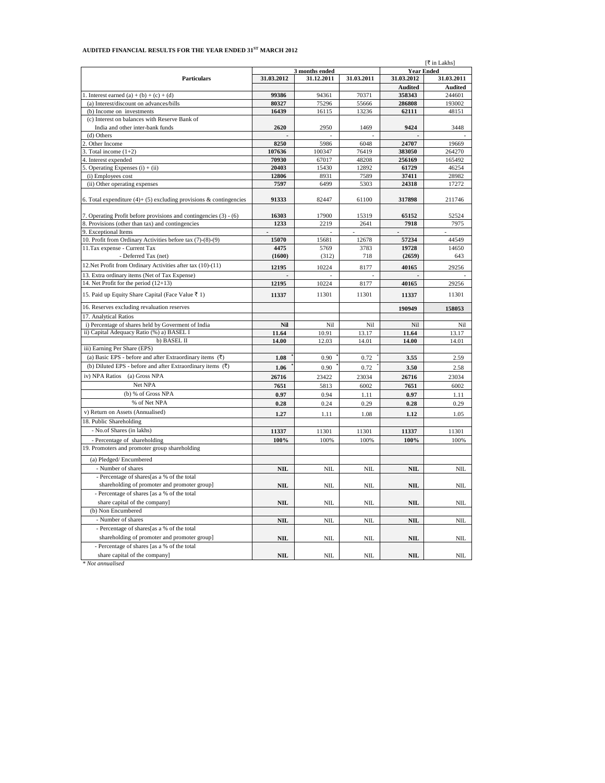## **AUDITED FINANCIAL RESULTS FOR THE YEAR ENDED 31ST MARCH 2012**

|                                                                                | [₹ in Lakhs]                        |              |            |                |            |
|--------------------------------------------------------------------------------|-------------------------------------|--------------|------------|----------------|------------|
|                                                                                | <b>Year Ended</b><br>3 months ended |              |            |                |            |
| <b>Particulars</b>                                                             | 31.03.2012                          | 31.12.2011   | 31.03.2011 | 31.03.2012     | 31.03.2011 |
|                                                                                |                                     |              |            | <b>Audited</b> | Audited    |
| . Interest earned $(a) + (b) + (c) + (d)$                                      | 99386                               | 94361        | 70371      | 358343         | 244601     |
| (a) Interest/discount on advances/bills                                        | 80327                               | 75296        | 55666      | 286808         | 193002     |
| (b) Income on investments                                                      | 16439                               | 16115        | 13236      | 62111          | 48151      |
| (c) Interest on balances with Reserve Bank of                                  |                                     |              |            |                |            |
| India and other inter-bank funds                                               | 2620                                | 2950         | 1469       | 9424           | 3448       |
| (d) Others                                                                     |                                     |              |            |                |            |
| Other Income                                                                   | 8250                                | 5986         | 6048       | 24707          | 19669      |
| Total income $(1+2)$                                                           | 107636                              | 100347       | 76419      | 383050         | 264270     |
| Interest expended                                                              | 70930                               | 67017        | 48208      | 256169         | 165492     |
| Operating Expenses $(i) + (ii)$                                                | 20403                               | 15430        | 12892      | 61729          | 46254      |
| (i) Employees cost                                                             | 12806                               | 8931         | 7589       | 37411          | 28982      |
| (ii) Other operating expenses                                                  | 7597                                | 6499         | 5303       | 24318          | 17272      |
| 6. Total expenditure $(4)$ + $(5)$ excluding provisions & contingencies        | 91333                               | 82447        | 61100      | 317898         | 211746     |
|                                                                                |                                     |              |            |                |            |
| 7. Operating Profit before provisions and contingencies (3) - (6)              | 16303                               | 17900        | 15319      | 65152          | 52524      |
| 8. Provisions (other than tax) and contingencies                               | 1233                                | 2219         | 2641       | 7918           | 7975       |
| 9. Exceptional Items                                                           | $\overline{\phantom{a}}$            |              |            | $\blacksquare$ |            |
| 10. Profit from Ordinary Activities before tax (7)-(8)-(9)                     | 15070                               | 15681        | 12678      | 57234          | 44549      |
| 11. Tax expense - Current Tax                                                  | 4475                                | 5769         | 3783       | 19728          | 14650      |
| - Deferred Tax (net)                                                           | (1600)                              | (312)        | 718        | (2659)         | 643        |
| 12. Net Profit from Ordinary Activities after tax (10)-(11)                    | 12195                               | 10224        | 8177       | 40165          | 29256      |
| 13. Extra ordinary items (Net of Tax Expense)                                  |                                     |              |            |                |            |
| 14. Net Profit for the period (12+13)                                          | 12195                               | 10224        | 8177       | 40165          | 29256      |
|                                                                                |                                     |              |            |                |            |
| 15. Paid up Equity Share Capital (Face Value ₹ 1)                              | 11337                               | 11301        | 11301      | 11337          | 11301      |
| 16. Reserves excluding revaluation reserves                                    |                                     |              |            | 190949         | 158053     |
| 17. Analytical Ratios                                                          |                                     |              |            |                |            |
| i) Percentage of shares held by Governent of India                             | Nil                                 | Nil          | Nil        | Nil            | Nil        |
| ii) Capital Adequacy Ratio (%) a) BASEL I                                      | 11.64                               | 10.91        | 13.17      | 11.64          | 13.17      |
| b) BASEL II                                                                    | 14.00                               | 12.03        | 14.01      | 14.00          | 14.01      |
| iii) Earning Per Share (EPS)                                                   |                                     |              |            |                |            |
| (a) Basic EPS - before and after Extraordinary items $(\overline{\mathbf{x}})$ | 1.08                                | 0.90         | 0.72       | 3.55           | 2.59       |
| (b) Diluted EPS - before and after Extraordinary items $(\bar{\zeta})$         | 1.06                                | 0.90         | 0.72       | 3.50           | 2.58       |
| iv) NPA Ratios (a) Gross NPA                                                   | 26716                               | 23422        | 23034      | 26716          | 23034      |
| Net NPA                                                                        | 7651                                | 5813         | 6002       | 7651           | 6002       |
| (b) % of Gross NPA                                                             | 0.97                                | 0.94         | 1.11       | 0.97           | 1.11       |
| % of Net NPA                                                                   | 0.28                                | 0.24         | 0.29       | 0.28           | 0.29       |
| v) Return on Assets (Annualised)                                               | 1.27                                | 1.11         | 1.08       | 1.12           | 1.05       |
| 18. Public Shareholding                                                        |                                     |              |            |                |            |
|                                                                                |                                     |              |            |                |            |
| - No.of Shares (in lakhs)                                                      | 11337                               | 11301        | 11301      | 11337          | 11301      |
| - Percentage of shareholding                                                   | 100%                                | 100%         | 100%       | 100%           | 100%       |
| 19. Promoters and promoter group shareholding                                  |                                     |              |            |                |            |
| (a) Pledged/Encumbered                                                         |                                     |              |            |                |            |
| - Number of shares                                                             | <b>NIL</b>                          | NIL          | <b>NIL</b> | <b>NIL</b>     | NII        |
| - Percentage of shares[as a % of the total                                     |                                     |              |            |                |            |
| shareholding of promoter and promoter group]                                   | $\mathbf{NIL}$                      | $\rm NIL$    | NIL        | $\mathbf{NIL}$ | NIL        |
| - Percentage of shares [as a % of the total                                    |                                     |              |            |                |            |
| share capital of the company]                                                  | <b>NIL</b>                          | <b>NIL</b>   | <b>NIL</b> | <b>NIL</b>     | <b>NIL</b> |
| (b) Non Encumbered                                                             |                                     |              |            |                |            |
| - Number of shares                                                             | $\mathbf{NIL}$                      | $\mbox{NIL}$ | $\rm NIL$  | $\mathbf{NIL}$ | NIL        |
| - Percentage of shares[as a % of the total                                     |                                     |              |            |                |            |
| shareholding of promoter and promoter group]                                   | <b>NIL</b>                          | NIL          | NIL        | <b>NIL</b>     | NIL        |
| - Percentage of shares [as a % of the total                                    |                                     |              |            |                |            |
| share capital of the company]                                                  | <b>NIL</b>                          | <b>NIL</b>   | <b>NIL</b> | NIL            | NII        |
|                                                                                |                                     |              |            |                |            |

*\* Not annualised*